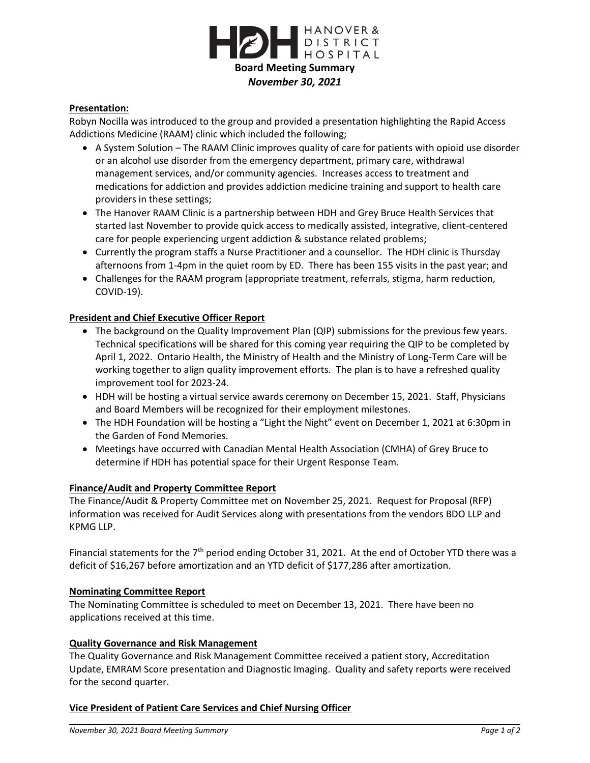

# **Presentation:**

Robyn Nocilla was introduced to the group and provided a presentation highlighting the Rapid Access Addictions Medicine (RAAM) clinic which included the following;

- A System Solution The RAAM Clinic improves quality of care for patients with opioid use disorder or an alcohol use disorder from the emergency department, primary care, withdrawal management services, and/or community agencies. Increases access to treatment and medications for addiction and provides addiction medicine training and support to health care providers in these settings;
- The Hanover RAAM Clinic is a partnership between HDH and Grey Bruce Health Services that started last November to provide quick access to medically assisted, integrative, client-centered care for people experiencing urgent addiction & substance related problems;
- Currently the program staffs a Nurse Practitioner and a counsellor. The HDH clinic is Thursday afternoons from 1-4pm in the quiet room by ED. There has been 155 visits in the past year; and
- Challenges for the RAAM program (appropriate treatment, referrals, stigma, harm reduction, COVID-19).

## **President and Chief Executive Officer Report**

- The background on the Quality Improvement Plan (QIP) submissions for the previous few years. Technical specifications will be shared for this coming year requiring the QIP to be completed by April 1, 2022. Ontario Health, the Ministry of Health and the Ministry of Long-Term Care will be working together to align quality improvement efforts. The plan is to have a refreshed quality improvement tool for 2023-24.
- HDH will be hosting a virtual service awards ceremony on December 15, 2021. Staff, Physicians and Board Members will be recognized for their employment milestones.
- The HDH Foundation will be hosting a "Light the Night" event on December 1, 2021 at 6:30pm in the Garden of Fond Memories.
- Meetings have occurred with Canadian Mental Health Association (CMHA) of Grey Bruce to determine if HDH has potential space for their Urgent Response Team.

## **Finance/Audit and Property Committee Report**

The Finance/Audit & Property Committee met on November 25, 2021. Request for Proposal (RFP) information was received for Audit Services along with presentations from the vendors BDO LLP and KPMG LLP.

Financial statements for the 7<sup>th</sup> period ending October 31, 2021. At the end of October YTD there was a deficit of \$16,267 before amortization and an YTD deficit of \$177,286 after amortization.

## **Nominating Committee Report**

The Nominating Committee is scheduled to meet on December 13, 2021. There have been no applications received at this time.

## **Quality Governance and Risk Management**

The Quality Governance and Risk Management Committee received a patient story, Accreditation Update, EMRAM Score presentation and Diagnostic Imaging. Quality and safety reports were received for the second quarter.

## **Vice President of Patient Care Services and Chief Nursing Officer**